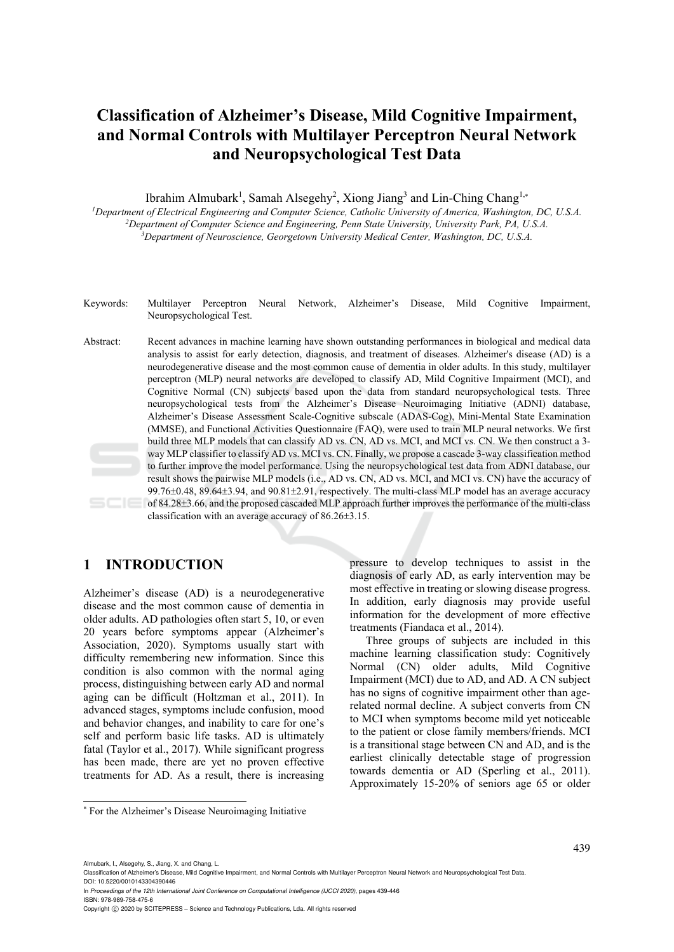## **Classification of Alzheimer's Disease, Mild Cognitive Impairment, and Normal Controls with Multilayer Perceptron Neural Network and Neuropsychological Test Data**

Ibrahim Almubark<sup>1</sup>, Samah Alsegehy<sup>2</sup>, Xiong Jiang<sup>3</sup> and Lin-Ching Chang<sup>1,\*</sup>

*1Department of Electrical Engineering and Computer Science, Catholic University of America, Washington, DC, U.S.A. 2Department of Computer Science and Engineering, Penn State University, University Park, PA, U.S.A. 3*

<sup>3</sup>Department of Neuroscience, Georgetown University Medical Center, Washington, DC, U.S.A.

- Keywords: Multilayer Perceptron Neural Network, Alzheimer's Disease, Mild Cognitive Impairment, Neuropsychological Test.
- Abstract: Recent advances in machine learning have shown outstanding performances in biological and medical data analysis to assist for early detection, diagnosis, and treatment of diseases. Alzheimer's disease (AD) is a neurodegenerative disease and the most common cause of dementia in older adults. In this study, multilayer perceptron (MLP) neural networks are developed to classify AD, Mild Cognitive Impairment (MCI), and Cognitive Normal (CN) subjects based upon the data from standard neuropsychological tests. Three neuropsychological tests from the Alzheimer's Disease Neuroimaging Initiative (ADNI) database, Alzheimer's Disease Assessment Scale-Cognitive subscale (ADAS-Cog), Mini-Mental State Examination (MMSE), and Functional Activities Questionnaire (FAQ), were used to train MLP neural networks. We first build three MLP models that can classify AD vs. CN, AD vs. MCI, and MCI vs. CN. We then construct a 3 way MLP classifier to classify AD vs. MCI vs. CN. Finally, we propose a cascade 3-way classification method to further improve the model performance. Using the neuropsychological test data from ADNI database, our result shows the pairwise MLP models (i.e., AD vs. CN, AD vs. MCI, and MCI vs. CN) have the accuracy of 99.76 $\pm$ 0.48, 89.64 $\pm$ 3.94, and 90.81 $\pm$ 2.91, respectively. The multi-class MLP model has an average accuracy of 84.283.66, and the proposed cascaded MLP approach further improves the performance of the multi-class

# classification with an average accuracy of  $86.26 \pm 3.15$ .

## **1 INTRODUCTION**

Alzheimer's disease (AD) is a neurodegenerative disease and the most common cause of dementia in older adults. AD pathologies often start 5, 10, or even 20 years before symptoms appear (Alzheimer's Association, 2020). Symptoms usually start with difficulty remembering new information. Since this condition is also common with the normal aging process, distinguishing between early AD and normal aging can be difficult (Holtzman et al., 2011). In advanced stages, symptoms include confusion, mood and behavior changes, and inability to care for one's self and perform basic life tasks. AD is ultimately fatal (Taylor et al., 2017). While significant progress has been made, there are yet no proven effective treatments for AD. As a result, there is increasing pressure to develop techniques to assist in the diagnosis of early AD, as early intervention may be most effective in treating or slowing disease progress. In addition, early diagnosis may provide useful information for the development of more effective treatments (Fiandaca et al., 2014).

Three groups of subjects are included in this machine learning classification study: Cognitively Normal (CN) older adults, Mild Cognitive Impairment (MCI) due to AD, and AD. A CN subject has no signs of cognitive impairment other than agerelated normal decline. A subject converts from CN to MCI when symptoms become mild yet noticeable to the patient or close family members/friends. MCI is a transitional stage between CN and AD, and is the earliest clinically detectable stage of progression towards dementia or AD (Sperling et al., 2011). Approximately 15-20% of seniors age 65 or older

Almubark, I., Alsegehy, S., Jiang, X. and Chang, L.

ISBN: 978-989-758-475-6

<sup>\*</sup> For the Alzheimer's Disease Neuroimaging Initiative

Classification of Alzheimer's Disease, Mild Cognitive Impairment, and Normal Controls with Multilayer Perceptron Neural Network and Neuropsychological Test Data. DOI: 10.5220/0010143304390446

In *Proceedings of the 12th International Joint Conference on Computational Intelligence (IJCCI 2020)*, pages 439-446

Copyright © 2020 by SCITEPRESS - Science and Technology Publications, Lda. All rights reserved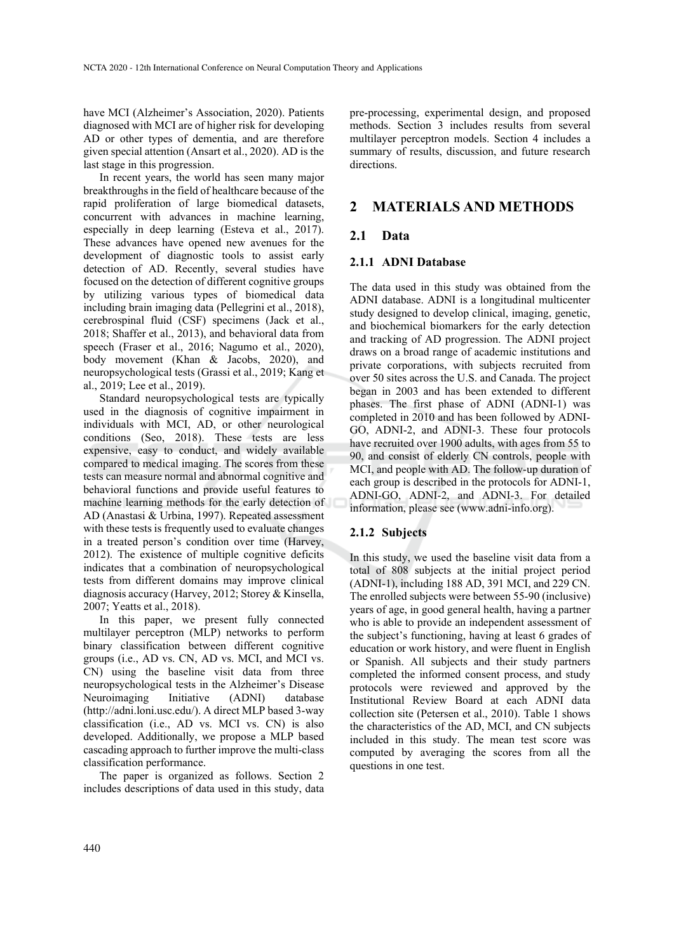have MCI (Alzheimer's Association, 2020). Patients diagnosed with MCI are of higher risk for developing AD or other types of dementia, and are therefore given special attention (Ansart et al., 2020). AD is the last stage in this progression.

In recent years, the world has seen many major breakthroughs in the field of healthcare because of the rapid proliferation of large biomedical datasets, concurrent with advances in machine learning, especially in deep learning (Esteva et al., 2017). These advances have opened new avenues for the development of diagnostic tools to assist early detection of AD. Recently, several studies have focused on the detection of different cognitive groups by utilizing various types of biomedical data including brain imaging data (Pellegrini et al., 2018), cerebrospinal fluid (CSF) specimens (Jack et al., 2018; Shaffer et al., 2013), and behavioral data from speech (Fraser et al., 2016; Nagumo et al., 2020), body movement (Khan & Jacobs, 2020), and neuropsychological tests (Grassi et al., 2019; Kang et al., 2019; Lee et al., 2019).

Standard neuropsychological tests are typically used in the diagnosis of cognitive impairment in individuals with MCI, AD, or other neurological conditions (Seo, 2018). These tests are less expensive, easy to conduct, and widely available compared to medical imaging. The scores from these tests can measure normal and abnormal cognitive and behavioral functions and provide useful features to machine learning methods for the early detection of AD (Anastasi & Urbina, 1997). Repeated assessment with these tests is frequently used to evaluate changes in a treated person's condition over time (Harvey, 2012). The existence of multiple cognitive deficits indicates that a combination of neuropsychological tests from different domains may improve clinical diagnosis accuracy (Harvey, 2012; Storey & Kinsella, 2007; Yeatts et al., 2018).

In this paper, we present fully connected multilayer perceptron (MLP) networks to perform binary classification between different cognitive groups (i.e., AD vs. CN, AD vs. MCI, and MCI vs. CN) using the baseline visit data from three neuropsychological tests in the Alzheimer's Disease Neuroimaging Initiative (ADNI) database (http://adni.loni.usc.edu/). A direct MLP based 3-way classification (i.e., AD vs. MCI vs. CN) is also developed. Additionally, we propose a MLP based cascading approach to further improve the multi-class classification performance.

The paper is organized as follows. Section 2 includes descriptions of data used in this study, data

pre-processing, experimental design, and proposed methods. Section 3 includes results from several multilayer perceptron models. Section 4 includes a summary of results, discussion, and future research directions.

### **2 MATERIALS AND METHODS**

#### **2.1 Data**

#### **2.1.1 ADNI Database**

The data used in this study was obtained from the ADNI database. ADNI is a longitudinal multicenter study designed to develop clinical, imaging, genetic, and biochemical biomarkers for the early detection and tracking of AD progression. The ADNI project draws on a broad range of academic institutions and private corporations, with subjects recruited from over 50 sites across the U.S. and Canada. The project began in 2003 and has been extended to different phases. The first phase of ADNI (ADNI-1) was completed in 2010 and has been followed by ADNI-GO, ADNI-2, and ADNI-3. These four protocols have recruited over 1900 adults, with ages from 55 to 90, and consist of elderly CN controls, people with MCI, and people with AD. The follow-up duration of each group is described in the protocols for ADNI-1, ADNI-GO, ADNI-2, and ADNI-3. For detailed information, please see (www.adni-info.org).

#### **2.1.2 Subjects**

In this study, we used the baseline visit data from a total of 808 subjects at the initial project period (ADNI-1), including 188 AD, 391 MCI, and 229 CN. The enrolled subjects were between 55-90 (inclusive) years of age, in good general health, having a partner who is able to provide an independent assessment of the subject's functioning, having at least 6 grades of education or work history, and were fluent in English or Spanish. All subjects and their study partners completed the informed consent process, and study protocols were reviewed and approved by the Institutional Review Board at each ADNI data collection site (Petersen et al., 2010). Table 1 shows the characteristics of the AD, MCI, and CN subjects included in this study. The mean test score was computed by averaging the scores from all the questions in one test.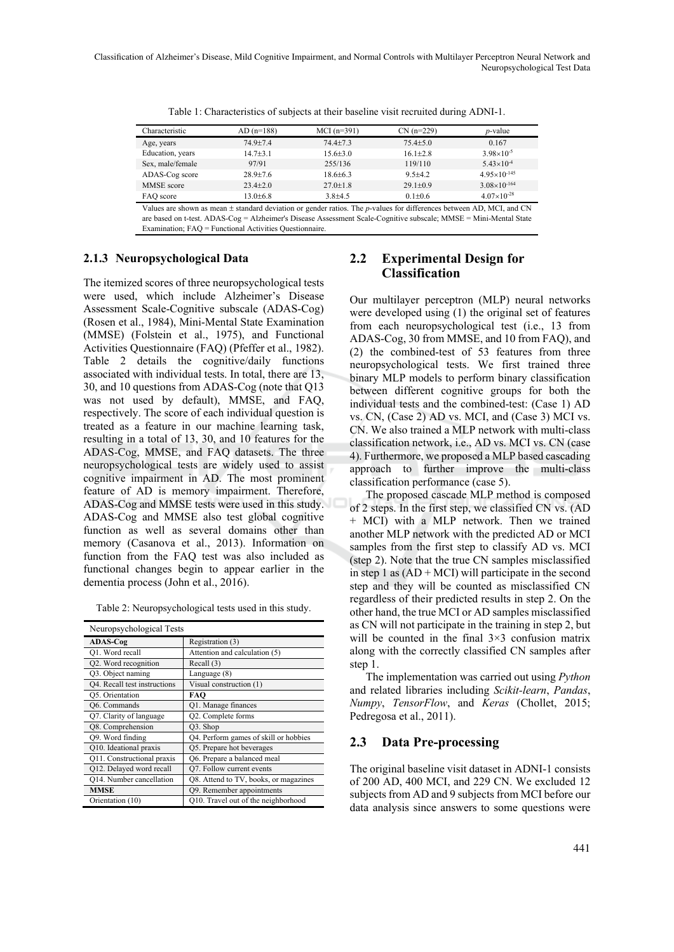| Characteristic    | $AD(n=188)$    | $MCI(n=391)$                       | $CN(n=229)$                  | $p$ -value            |
|-------------------|----------------|------------------------------------|------------------------------|-----------------------|
| Age, years        | $74.9 + 7.4$   | $74.4 \pm 7.3$                     | $75.4 \pm 5.0$               | 0.167                 |
| Education, years  | $14.7 + 3.1$   | $15.6 \pm 3.0$                     | $16.1 \pm 2.8$               | $3.98 \times 10^{-5}$ |
| Sex. male/female  | 97/91          | 255/136                            | 119/110                      | $5.43\times10^{-4}$   |
| ADAS-Cog score    | $28.9 + 7.6$   | $18.6 \pm 6.3$                     | $9.5 + 4.2$                  | $4.95\times10^{-145}$ |
| <b>MMSE</b> score | $23.4 \pm 2.0$ | $27.0 \pm 1.8$                     | $29.1 \pm 0.9$               | $3.08\times10^{-164}$ |
| FAO score         | $13.0 \pm 6.8$ | $3.8 + 4.5$                        | $0.1 \pm 0.6$                | $4.07\times10^{-28}$  |
| $-1$<br>$\sim$    | .              | $\sim$ $\sim$<br><b>CONTRACTOR</b> | $\cdots$<br>$\sim$<br>$\sim$ | $\sim$ $\sim$ $\sim$  |

Table 1: Characteristics of subjects at their baseline visit recruited during ADNI-1.

Values are shown as mean  $\pm$  standard deviation or gender ratios. The *p*-values for differences between AD, MCI, and CN are based on t-test. ADAS-Cog = Alzheimer's Disease Assessment Scale-Cognitive subscale; MMSE = Mini-Mental State Examination; FAQ = Functional Activities Questionnaire.

#### **2.1.3 Neuropsychological Data**

The itemized scores of three neuropsychological tests were used, which include Alzheimer's Disease Assessment Scale-Cognitive subscale (ADAS-Cog) (Rosen et al., 1984), Mini-Mental State Examination (MMSE) (Folstein et al., 1975), and Functional Activities Questionnaire (FAQ) (Pfeffer et al., 1982). Table 2 details the cognitive/daily functions associated with individual tests. In total, there are 13, 30, and 10 questions from ADAS-Cog (note that Q13 was not used by default), MMSE, and FAQ, respectively. The score of each individual question is treated as a feature in our machine learning task, resulting in a total of 13, 30, and 10 features for the ADAS-Cog, MMSE, and FAQ datasets. The three neuropsychological tests are widely used to assist cognitive impairment in AD. The most prominent feature of AD is memory impairment. Therefore, ADAS-Cog and MMSE tests were used in this study. ADAS-Cog and MMSE also test global cognitive function as well as several domains other than memory (Casanova et al., 2013). Information on function from the FAQ test was also included as functional changes begin to appear earlier in the dementia process (John et al., 2016).

Table 2: Neuropsychological tests used in this study.

| Neuropsychological Tests     |                                       |  |  |
|------------------------------|---------------------------------------|--|--|
| <b>ADAS-Cog</b>              | Registration (3)                      |  |  |
| Q1. Word recall              | Attention and calculation (5)         |  |  |
| Q2. Word recognition         | Recall $(3)$                          |  |  |
| Q3. Object naming            | Language (8)                          |  |  |
| Q4. Recall test instructions | Visual construction (1)               |  |  |
| Q5. Orientation              | FAO                                   |  |  |
| Q6. Commands                 | O1. Manage finances                   |  |  |
| Q7. Clarity of language      | Q2. Complete forms                    |  |  |
| Q8. Comprehension            | Q3. Shop                              |  |  |
| Q9. Word finding             | Q4. Perform games of skill or hobbies |  |  |
| Q10. Ideational praxis       | Q5. Prepare hot beverages             |  |  |
| Q11. Constructional praxis   | Q6. Prepare a balanced meal           |  |  |
| Q12. Delayed word recall     | Q7. Follow current events             |  |  |
| Q14. Number cancellation     | Q8. Attend to TV, books, or magazines |  |  |
| <b>MMSE</b>                  | Q9. Remember appointments             |  |  |
| Orientation (10)             | Q10. Travel out of the neighborhood   |  |  |

## **2.2 Experimental Design for Classification**

Our multilayer perceptron (MLP) neural networks were developed using (1) the original set of features from each neuropsychological test (i.e., 13 from ADAS-Cog, 30 from MMSE, and 10 from FAQ), and (2) the combined-test of 53 features from three neuropsychological tests. We first trained three binary MLP models to perform binary classification between different cognitive groups for both the individual tests and the combined-test: (Case 1) AD vs. CN, (Case 2) AD vs. MCI, and (Case 3) MCI vs. CN. We also trained a MLP network with multi-class classification network, i.e., AD vs. MCI vs. CN (case 4). Furthermore, we proposed a MLP based cascading approach to further improve the multi-class classification performance (case 5).

The proposed cascade MLP method is composed of 2 steps. In the first step, we classified CN vs. (AD + MCI) with a MLP network. Then we trained another MLP network with the predicted AD or MCI samples from the first step to classify AD vs. MCI (step 2). Note that the true CN samples misclassified in step 1 as  $(AD + MCI)$  will participate in the second step and they will be counted as misclassified CN regardless of their predicted results in step 2. On the other hand, the true MCI or AD samples misclassified as CN will not participate in the training in step 2, but will be counted in the final 3×3 confusion matrix along with the correctly classified CN samples after step 1.

The implementation was carried out using *Python* and related libraries including *Scikit-learn*, *Pandas*, *Numpy*, *TensorFlow*, and *Keras* (Chollet, 2015; Pedregosa et al., 2011).

#### **2.3 Data Pre-processing**

The original baseline visit dataset in ADNI-1 consists of 200 AD, 400 MCI, and 229 CN. We excluded 12 subjects from AD and 9 subjects from MCI before our data analysis since answers to some questions were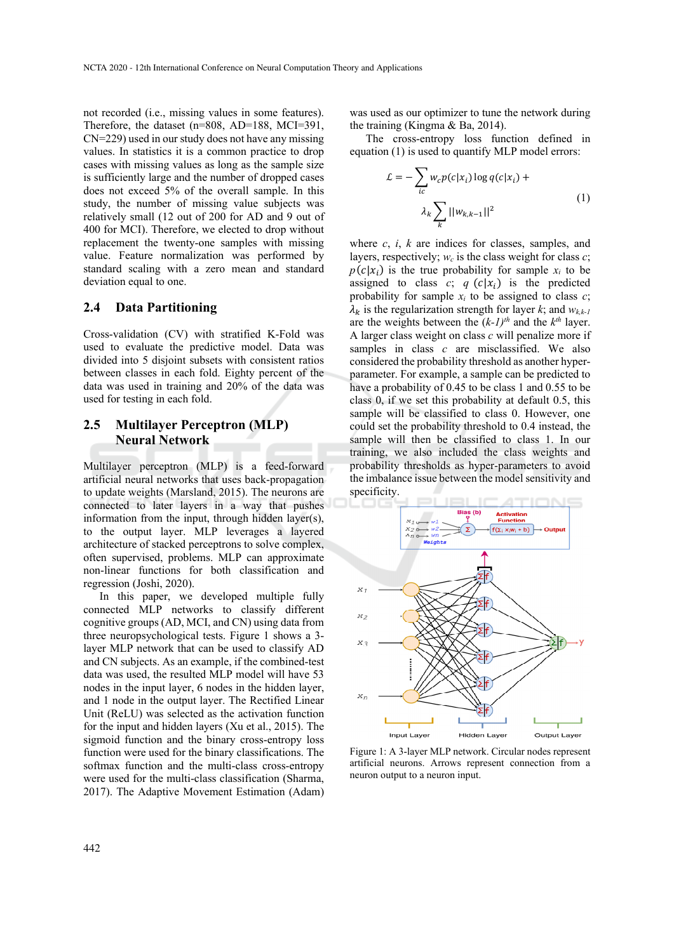not recorded (i.e., missing values in some features). Therefore, the dataset (n=808, AD=188, MCI=391, CN=229) used in our study does not have any missing values. In statistics it is a common practice to drop cases with missing values as long as the sample size is sufficiently large and the number of dropped cases does not exceed 5% of the overall sample. In this study, the number of missing value subjects was relatively small (12 out of 200 for AD and 9 out of 400 for MCI). Therefore, we elected to drop without replacement the twenty-one samples with missing value. Feature normalization was performed by standard scaling with a zero mean and standard deviation equal to one.

#### **2.4 Data Partitioning**

Cross-validation (CV) with stratified K-Fold was used to evaluate the predictive model. Data was divided into 5 disjoint subsets with consistent ratios between classes in each fold. Eighty percent of the data was used in training and 20% of the data was used for testing in each fold.

#### **2.5 Multilayer Perceptron (MLP) Neural Network**

Multilayer perceptron (MLP) is a feed-forward artificial neural networks that uses back-propagation to update weights (Marsland, 2015). The neurons are connected to later layers in a way that pushes information from the input, through hidden layer(s), to the output layer. MLP leverages a layered architecture of stacked perceptrons to solve complex, often supervised, problems. MLP can approximate non-linear functions for both classification and regression (Joshi, 2020).

In this paper, we developed multiple fully connected MLP networks to classify different cognitive groups (AD, MCI, and CN) using data from three neuropsychological tests. Figure 1 shows a 3 layer MLP network that can be used to classify AD and CN subjects. As an example, if the combined-test data was used, the resulted MLP model will have 53 nodes in the input layer, 6 nodes in the hidden layer, and 1 node in the output layer. The Rectified Linear Unit (ReLU) was selected as the activation function for the input and hidden layers (Xu et al., 2015). The sigmoid function and the binary cross-entropy loss function were used for the binary classifications. The softmax function and the multi-class cross-entropy were used for the multi-class classification (Sharma, 2017). The Adaptive Movement Estimation (Adam)

was used as our optimizer to tune the network during the training (Kingma & Ba, 2014).

The cross-entropy loss function defined in equation (1) is used to quantify MLP model errors:

$$
\mathcal{L} = -\sum_{ic} w_c p(c|x_i) \log q(c|x_i) + \lambda_k \sum_{k} ||w_{k,k-1}||^2
$$
\n(1)

where *c*, *i*, *k* are indices for classes, samples, and layers, respectively;  $w_c$  is the class weight for class  $c$ ;  $p(c|x_i)$  is the true probability for sample  $x_i$  to be assigned to class  $c$ ;  $q(c|x_i)$  is the predicted probability for sample  $x_i$  to be assigned to class  $c$ ;  $\lambda_k$  is the regularization strength for layer *k*; and  $w_{k,k-1}$ are the weights between the  $(k-1)^{th}$  and the  $k^{th}$  layer. A larger class weight on class *c* will penalize more if samples in class *c* are misclassified. We also considered the probability threshold as another hyperparameter. For example, a sample can be predicted to have a probability of 0.45 to be class 1 and 0.55 to be class 0, if we set this probability at default 0.5, this sample will be classified to class 0. However, one could set the probability threshold to 0.4 instead, the sample will then be classified to class 1. In our training, we also included the class weights and probability thresholds as hyper-parameters to avoid the imbalance issue between the model sensitivity and specificity.



Figure 1: A 3-layer MLP network. Circular nodes represent artificial neurons. Arrows represent connection from a neuron output to a neuron input.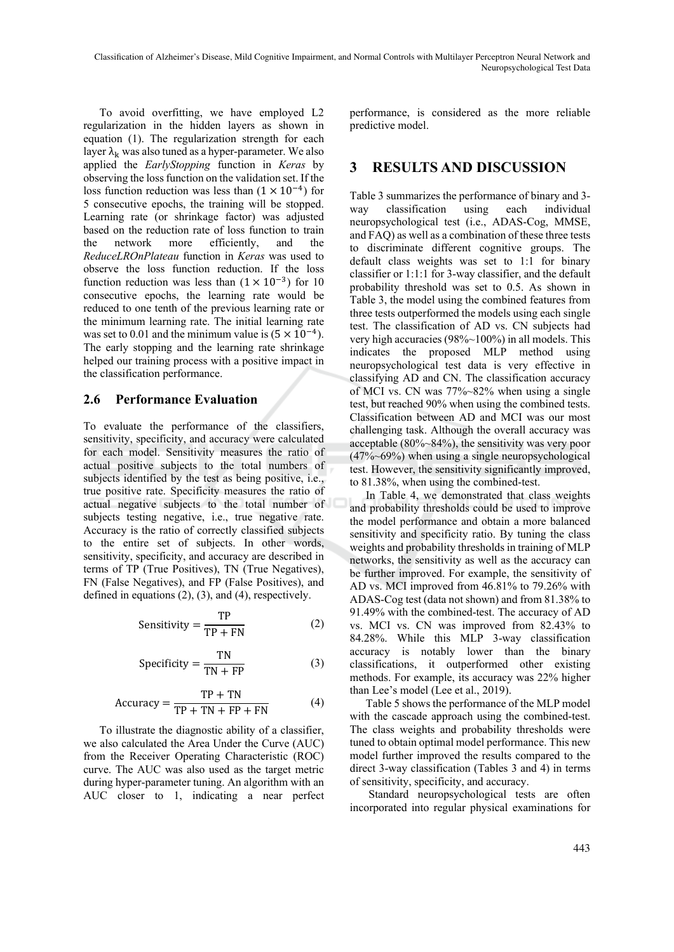To avoid overfitting, we have employed L2 regularization in the hidden layers as shown in equation (1). The regularization strength for each layer  $\lambda_k$  was also tuned as a hyper-parameter. We also applied the *EarlyStopping* function in *Keras* by observing the loss function on the validation set. If the loss function reduction was less than  $(1 \times 10^{-4})$  for 5 consecutive epochs, the training will be stopped. Learning rate (or shrinkage factor) was adjusted based on the reduction rate of loss function to train the network more efficiently, and the *ReduceLROnPlateau* function in *Keras* was used to observe the loss function reduction. If the loss function reduction was less than  $(1 \times 10^{-3})$  for 10 consecutive epochs, the learning rate would be reduced to one tenth of the previous learning rate or the minimum learning rate. The initial learning rate was set to 0.01 and the minimum value is  $(5 \times 10^{-4})$ . The early stopping and the learning rate shrinkage helped our training process with a positive impact in the classification performance.

#### **2.6 Performance Evaluation**

To evaluate the performance of the classifiers, sensitivity, specificity, and accuracy were calculated for each model. Sensitivity measures the ratio of actual positive subjects to the total numbers of subjects identified by the test as being positive, i.e., true positive rate. Specificity measures the ratio of actual negative subjects to the total number of subjects testing negative, i.e., true negative rate. Accuracy is the ratio of correctly classified subjects to the entire set of subjects. In other words, sensitivity, specificity, and accuracy are described in terms of TP (True Positives), TN (True Negatives), FN (False Negatives), and FP (False Positives), and defined in equations (2), (3), and (4), respectively.

$$
Sensitivity = \frac{TP}{TP + FN}
$$
 (2)

$$
Specificity = \frac{TN}{TN + FP}
$$
 (3)

$$
Accuracy = \frac{TP + TN}{TP + TN + FP + FN}
$$
 (4)

To illustrate the diagnostic ability of a classifier, we also calculated the Area Under the Curve (AUC) from the Receiver Operating Characteristic (ROC) curve. The AUC was also used as the target metric during hyper-parameter tuning. An algorithm with an AUC closer to 1, indicating a near perfect performance, is considered as the more reliable predictive model.

## **3 RESULTS AND DISCUSSION**

Table 3 summarizes the performance of binary and 3 way classification using each individual neuropsychological test (i.e., ADAS-Cog, MMSE, and FAQ) as well as a combination of these three tests to discriminate different cognitive groups. The default class weights was set to 1:1 for binary classifier or 1:1:1 for 3-way classifier, and the default probability threshold was set to 0.5. As shown in Table 3, the model using the combined features from three tests outperformed the models using each single test. The classification of AD vs. CN subjects had very high accuracies (98%~100%) in all models. This indicates the proposed MLP method using neuropsychological test data is very effective in classifying AD and CN. The classification accuracy of MCI vs. CN was 77%~82% when using a single test, but reached 90% when using the combined tests. Classification between AD and MCI was our most challenging task. Although the overall accuracy was acceptable (80%~84%), the sensitivity was very poor (47%~69%) when using a single neuropsychological test. However, the sensitivity significantly improved, to 81.38%, when using the combined-test.

In Table 4, we demonstrated that class weights and probability thresholds could be used to improve the model performance and obtain a more balanced sensitivity and specificity ratio. By tuning the class weights and probability thresholds in training of MLP networks, the sensitivity as well as the accuracy can be further improved. For example, the sensitivity of AD vs. MCI improved from 46.81% to 79.26% with ADAS-Cog test (data not shown) and from 81.38% to 91.49% with the combined-test. The accuracy of AD vs. MCI vs. CN was improved from 82.43% to 84.28%. While this MLP 3-way classification accuracy is notably lower than the binary classifications, it outperformed other existing methods. For example, its accuracy was 22% higher than Lee's model (Lee et al., 2019).

Table 5 shows the performance of the MLP model with the cascade approach using the combined-test. The class weights and probability thresholds were tuned to obtain optimal model performance. This new model further improved the results compared to the direct 3-way classification (Tables 3 and 4) in terms of sensitivity, specificity, and accuracy.

 Standard neuropsychological tests are often incorporated into regular physical examinations for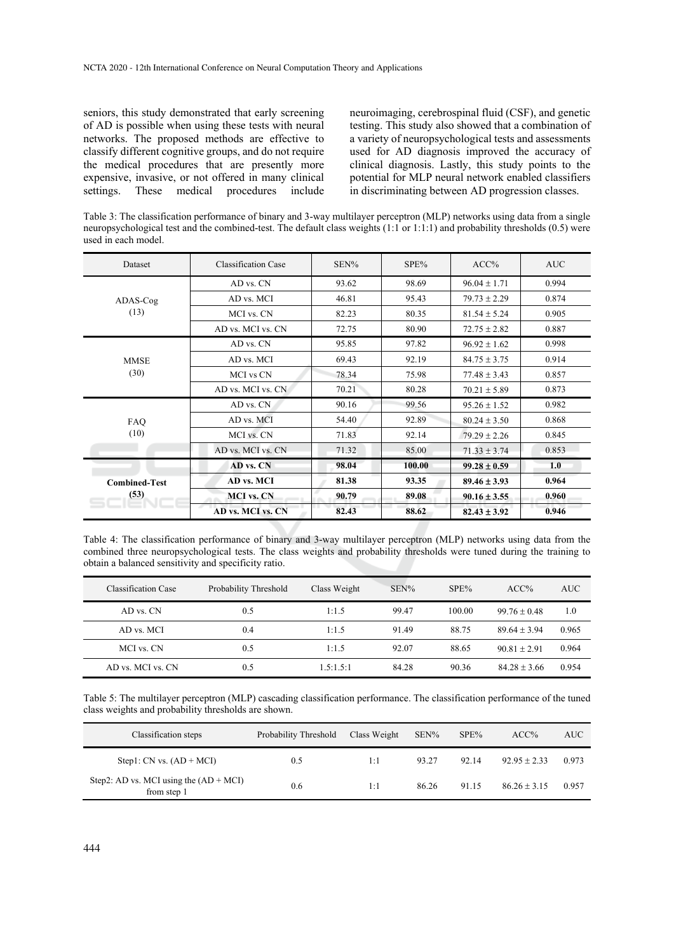seniors, this study demonstrated that early screening of AD is possible when using these tests with neural networks. The proposed methods are effective to classify different cognitive groups, and do not require the medical procedures that are presently more expensive, invasive, or not offered in many clinical settings. These medical procedures include neuroimaging, cerebrospinal fluid (CSF), and genetic testing. This study also showed that a combination of a variety of neuropsychological tests and assessments used for AD diagnosis improved the accuracy of clinical diagnosis. Lastly, this study points to the potential for MLP neural network enabled classifiers in discriminating between AD progression classes.

Table 3: The classification performance of binary and 3-way multilayer perceptron (MLP) networks using data from a single neuropsychological test and the combined-test. The default class weights (1:1 or 1:1:1) and probability thresholds (0.5) were used in each model.

| Dataset              | <b>Classification Case</b> | SEN%  | SPE%   | ACC%                                                                                             | <b>AUC</b> |
|----------------------|----------------------------|-------|--------|--------------------------------------------------------------------------------------------------|------------|
|                      | AD vs. CN                  | 93.62 | 98.69  | $96.04 \pm 1.71$                                                                                 | 0.994      |
| ADAS-Cog             | AD vs. MCI                 | 46.81 | 95.43  | $79.73 \pm 2.29$                                                                                 | 0.874      |
| (13)                 | MCI vs. CN                 | 82.23 | 80.35  | $81.54 \pm 5.24$                                                                                 | 0.905      |
|                      | AD vs. MCI vs. CN          | 72.75 | 80.90  | $72.75 \pm 2.82$                                                                                 | 0.887      |
|                      | AD vs. CN                  | 95.85 | 97.82  | $96.92 \pm 1.62$                                                                                 | 0.998      |
| <b>MMSE</b><br>(30)  | AD vs. MCI                 | 69.43 | 92.19  | $84.75 \pm 3.75$                                                                                 | 0.914      |
|                      | MCI vs CN                  | 78.34 | 75.98  | $77.48 \pm 3.43$                                                                                 | 0.857      |
|                      | AD vs. MCI vs. CN          | 70.21 | 80.28  | $70.21 \pm 5.89$                                                                                 | 0.873      |
|                      | AD vs. CN                  | 90.16 | 99.56  | $95.26 \pm 1.52$                                                                                 | 0.982      |
| FAQ                  | AD vs. MCI                 | 54.40 | 92.89  | $80.24 \pm 3.50$                                                                                 | 0.868      |
| (10)                 | MCI vs. CN                 | 71.83 | 92.14  | $79.29 \pm 2.26$                                                                                 | 0.845      |
|                      | AD vs. MCI vs. CN          | 71.32 | 85.00  | $71.33 \pm 3.74$<br>$99.28 \pm 0.59$<br>$89.46 \pm 3.93$<br>$90.16 \pm 3.55$<br>$82.43 \pm 3.92$ | 0.853      |
|                      | AD vs. CN                  | 98.04 | 100.00 |                                                                                                  | 1.0        |
| <b>Combined-Test</b> | AD vs. MCI                 | 81.38 | 93.35  |                                                                                                  | 0.964      |
| (53)                 | <b>MCI</b> vs. CN          | 90.79 | 89.08  |                                                                                                  | 0.960      |
|                      | AD vs. MCI vs. CN          | 82.43 | 88.62  |                                                                                                  | 0.946      |

Table 4: The classification performance of binary and 3-way multilayer perceptron (MLP) networks using data from the combined three neuropsychological tests. The class weights and probability thresholds were tuned during the training to obtain a balanced sensitivity and specificity ratio.

| Classification Case | Probability Threshold | Class Weight | SEN%  | SPE%   | ACC%             | <b>AUC</b> |
|---------------------|-----------------------|--------------|-------|--------|------------------|------------|
| AD vs. CN           | 0.5                   | 1:1.5        | 99.47 | 100.00 | $99.76 \pm 0.48$ | 1.0        |
| AD vs. MCI          | 0.4                   | 1:1.5        | 91.49 | 88.75  | $89.64 + 3.94$   | 0.965      |
| MCI vs. CN          | 0.5                   | 1:1.5        | 92.07 | 88.65  | $90.81 + 2.91$   | 0.964      |
| AD vs. MCI vs. CN   | 0.5                   | 1.5:1.5:1    | 84.28 | 90.36  | $84.28 + 3.66$   | 0.954      |

Table 5: The multilayer perceptron (MLP) cascading classification performance. The classification performance of the tuned class weights and probability thresholds are shown.

| Classification steps                                    | Probability Threshold | Class Weight | SEN%  | SPE%  | ACC%             | AUC   |
|---------------------------------------------------------|-----------------------|--------------|-------|-------|------------------|-------|
| Step1: $CN$ vs. $(AD + MCI)$                            | 0.5                   | 1:1          | 93.27 | 92.14 | $92.95 + 2.33$   | 0.973 |
| Step2: AD vs. MCI using the $(AD + MCI)$<br>from step 1 | 0.6                   | 1:1          | 86.26 | 91.15 | $86.26 \pm 3.15$ | 0.957 |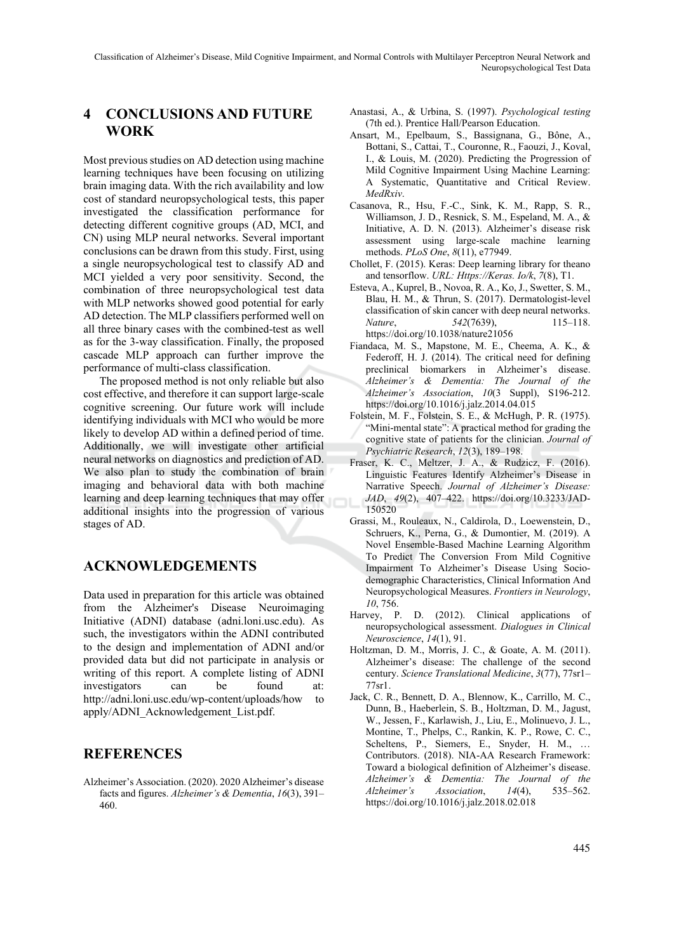## **4 CONCLUSIONS AND FUTURE WORK**

Most previous studies on AD detection using machine learning techniques have been focusing on utilizing brain imaging data. With the rich availability and low cost of standard neuropsychological tests, this paper investigated the classification performance for detecting different cognitive groups (AD, MCI, and CN) using MLP neural networks. Several important conclusions can be drawn from this study. First, using a single neuropsychological test to classify AD and MCI yielded a very poor sensitivity. Second, the combination of three neuropsychological test data with MLP networks showed good potential for early AD detection. The MLP classifiers performed well on all three binary cases with the combined-test as well as for the 3-way classification. Finally, the proposed cascade MLP approach can further improve the performance of multi-class classification.

The proposed method is not only reliable but also cost effective, and therefore it can support large-scale cognitive screening. Our future work will include identifying individuals with MCI who would be more likely to develop AD within a defined period of time. Additionally, we will investigate other artificial neural networks on diagnostics and prediction of AD. We also plan to study the combination of brain imaging and behavioral data with both machine learning and deep learning techniques that may offer additional insights into the progression of various stages of AD.

## **ACKNOWLEDGEMENTS**

Data used in preparation for this article was obtained from the Alzheimer's Disease Neuroimaging Initiative (ADNI) database (adni.loni.usc.edu). As such, the investigators within the ADNI contributed to the design and implementation of ADNI and/or provided data but did not participate in analysis or writing of this report. A complete listing of ADNI investigators can be found at: http://adni.loni.usc.edu/wp-content/uploads/how to apply/ADNI\_Acknowledgement\_List.pdf.

## **REFERENCES**

Alzheimer's Association. (2020). 2020 Alzheimer's disease facts and figures. *Alzheimer's & Dementia*, *16*(3), 391– 460.

- Anastasi, A., & Urbina, S. (1997). *Psychological testing* (7th ed.). Prentice Hall/Pearson Education.
- Ansart, M., Epelbaum, S., Bassignana, G., Bône, A., Bottani, S., Cattai, T., Couronne, R., Faouzi, J., Koval, I., & Louis, M. (2020). Predicting the Progression of Mild Cognitive Impairment Using Machine Learning: A Systematic, Quantitative and Critical Review. *MedRxiv*.
- Casanova, R., Hsu, F.-C., Sink, K. M., Rapp, S. R., Williamson, J. D., Resnick, S. M., Espeland, M. A., & Initiative, A. D. N. (2013). Alzheimer's disease risk assessment using large-scale machine learning methods. *PLoS One*, *8*(11), e77949.
- Chollet, F. (2015). Keras: Deep learning library for theano and tensorflow. *URL: Https://Keras. Io/k*, *7*(8), T1.
- Esteva, A., Kuprel, B., Novoa, R. A., Ko, J., Swetter, S. M., Blau, H. M., & Thrun, S. (2017). Dermatologist-level classification of skin cancer with deep neural networks. *Nature*, *542*(7639), 115–118. https://doi.org/10.1038/nature21056
- Fiandaca, M. S., Mapstone, M. E., Cheema, A. K., & Federoff, H. J. (2014). The critical need for defining preclinical biomarkers in Alzheimer's disease. *Alzheimer's & Dementia: The Journal of the Alzheimer's Association*, *10*(3 Suppl), S196-212. https://doi.org/10.1016/j.jalz.2014.04.015
- Folstein, M. F., Folstein, S. E., & McHugh, P. R. (1975). "Mini-mental state": A practical method for grading the cognitive state of patients for the clinician. *Journal of Psychiatric Research*, *12*(3), 189–198.
- Fraser, K. C., Meltzer, J. A., & Rudzicz, F. (2016). Linguistic Features Identify Alzheimer's Disease in Narrative Speech. *Journal of Alzheimer's Disease: JAD*, *49*(2), 407–422. https://doi.org/10.3233/JAD-150520
- Grassi, M., Rouleaux, N., Caldirola, D., Loewenstein, D., Schruers, K., Perna, G., & Dumontier, M. (2019). A Novel Ensemble-Based Machine Learning Algorithm To Predict The Conversion From Mild Cognitive Impairment To Alzheimer's Disease Using Sociodemographic Characteristics, Clinical Information And Neuropsychological Measures. *Frontiers in Neurology*, *10*, 756.
- Harvey, P. D. (2012). Clinical applications of neuropsychological assessment. *Dialogues in Clinical Neuroscience*, *14*(1), 91.
- Holtzman, D. M., Morris, J. C., & Goate, A. M. (2011). Alzheimer's disease: The challenge of the second century. *Science Translational Medicine*, *3*(77), 77sr1– 77sr1.
- Jack, C. R., Bennett, D. A., Blennow, K., Carrillo, M. C., Dunn, B., Haeberlein, S. B., Holtzman, D. M., Jagust, W., Jessen, F., Karlawish, J., Liu, E., Molinuevo, J. L., Montine, T., Phelps, C., Rankin, K. P., Rowe, C. C., Scheltens, P., Siemers, E., Snyder, H. M., … Contributors. (2018). NIA-AA Research Framework: Toward a biological definition of Alzheimer's disease. *Alzheimer's & Dementia: The Journal of the Alzheimer's Association*, *14*(4), 535–562. https://doi.org/10.1016/j.jalz.2018.02.018